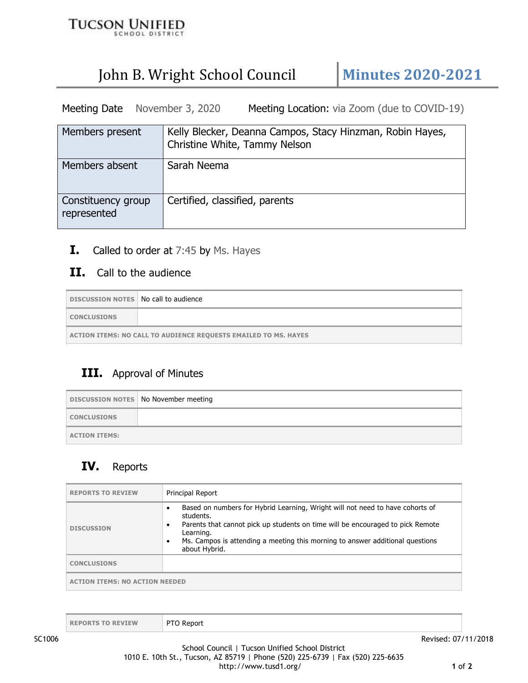

# John B. Wright School Council | Minutes 2020-2021

Meeting Date November 3, 2020 Meeting Location: via Zoom (due to COVID-19)

| Members present                   | Kelly Blecker, Deanna Campos, Stacy Hinzman, Robin Hayes,<br>Christine White, Tammy Nelson |
|-----------------------------------|--------------------------------------------------------------------------------------------|
| Members absent                    | Sarah Neema                                                                                |
| Constituency group<br>represented | Certified, classified, parents                                                             |

**I.** Called to order at 7:45 by Ms. Hayes

#### **II.** Call to the audience

| DISCUSSION NOTES   No call to audience                                 |  |
|------------------------------------------------------------------------|--|
| <b>CONCLUSIONS</b>                                                     |  |
| <b>ACTION ITEMS: NO CALL TO AUDIENCE REQUESTS EMAILED TO MS. HAYES</b> |  |

#### **III.** Approval of Minutes

|                      | DISCUSSION NOTES   No November meeting |
|----------------------|----------------------------------------|
| <b>CONCLUSIONS</b>   |                                        |
| <b>ACTION ITEMS:</b> |                                        |

## **IV.** Reports

| <b>REPORTS TO REVIEW</b>              | <b>Principal Report</b>                                                                                                                                                                                                                                                                                            |
|---------------------------------------|--------------------------------------------------------------------------------------------------------------------------------------------------------------------------------------------------------------------------------------------------------------------------------------------------------------------|
| <b>DISCUSSION</b>                     | Based on numbers for Hybrid Learning, Wright will not need to have cohorts of<br>$\bullet$<br>students.<br>Parents that cannot pick up students on time will be encouraged to pick Remote<br>٠<br>Learning.<br>Ms. Campos is attending a meeting this morning to answer additional questions<br>٠<br>about Hybrid. |
| <b>CONCLUSIONS</b>                    |                                                                                                                                                                                                                                                                                                                    |
| <b>ACTION ITEMS: NO ACTION NEEDED</b> |                                                                                                                                                                                                                                                                                                                    |

| PTO Report<br><b>REPORTS TO REVIEW</b> |  |
|----------------------------------------|--|
|----------------------------------------|--|